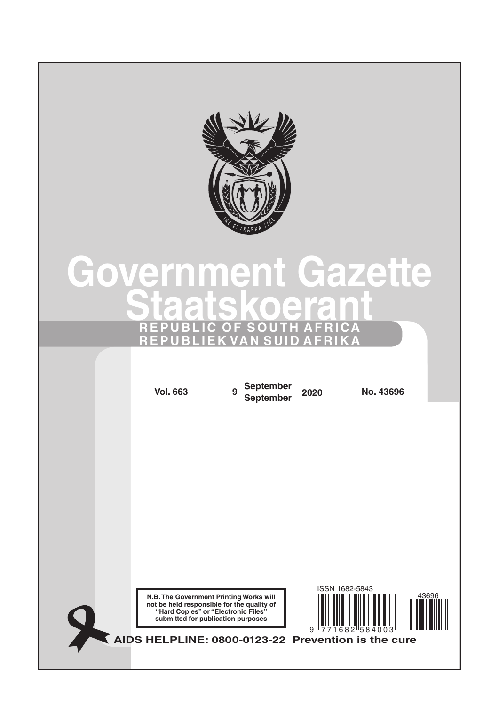

# **Government Gazette Staatskoerant REPUBLIC OF SOUTH AFRICA REPUBLIEK VAN SUID AFRIKA**

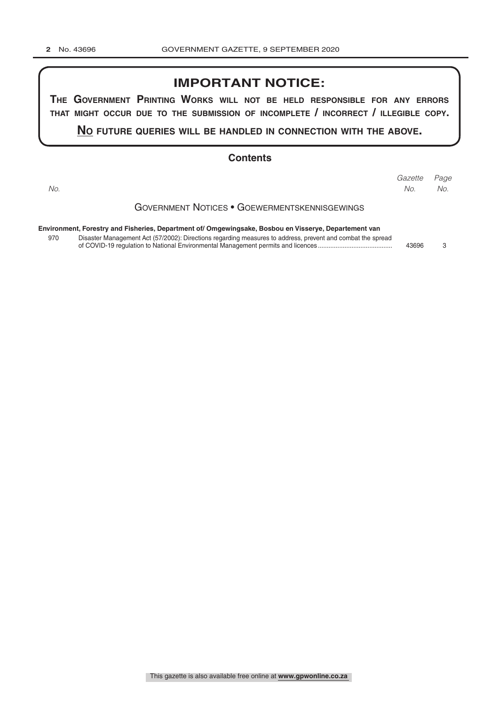# **IMPORTANT NOTICE:**

**The GovernmenT PrinTinG Works Will noT be held resPonsible for any errors ThaT miGhT occur due To The submission of incomPleTe / incorrecT / illeGible coPy.**

**no fuTure queries Will be handled in connecTion WiTh The above.**

#### **Contents**

Government Notices • Goewermentskennisgewings **Environment, Forestry and Fisheries, Department of/ Omgewingsake, Bosbou en Visserye, Departement van** 970 Disaster Management Act (57/2002): Directions regarding measures to address, prevent and combat the spread of COVID-19 regulation to National Environmental Management permits and licences .......................................... 43696 3 *Page Gazette No. No. No.*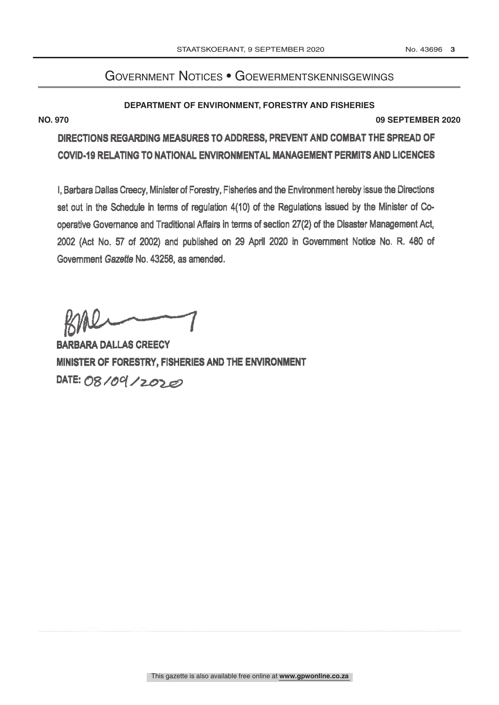# Government Notices • Goewermentskennisgewings

#### **DEPARTMENT OF ENVIRONMENT, FORESTRY AND FISHERIES**

**NO. 970 09 SEPTEMBER 2020**

DIRECTIONS REGARDING MEASURES TO ADDRESS, PREVENT AND COMBAT THE SPREAD OF COVID -19 RELATING TO NATIONAL ENVIRONMENTAL MANAGEMENT PERMITS AND LICENCES

I, Barbara Dallas Creecy, Minister of Forestry, Fisheries and the Environment hereby issue the Directions set out in the Schedule in terms of regulation 4(10) of the Regulations issued by the Minister of Cooperative Governance and Traditional Affairs in terms of section 27(2) of the Disaster Management Act, 2002 (Act No. 57 of 2002) and published on 29 April 2020 in Government Notice No. R. 480 of Government Gazette No. 43258, as amended.

DATE: 08/09/2020 BARBARA DALLAS CREECY MINISTER OF FORESTRY, FISHERIES AND THE ENVIRONMENT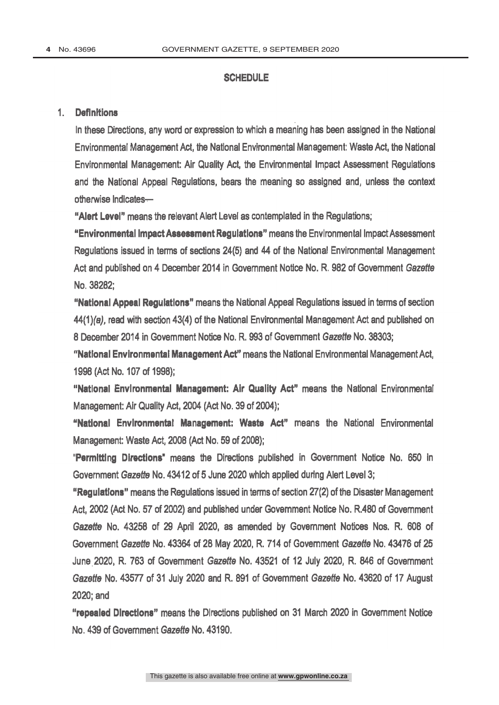#### **SCHEDULE**

#### 1. Definitions

In these Directions, any word or expression to which a meaning has been assigned in the National Environmental Management Act, the National Environmental Management: Waste Act, the National Environmental Management: Air Quality Act, the Environmental Impact Assessment Regulations and the National Appeal Regulations, bears the meaning so assigned and, unless the context otherwise Indicates-

"Alert Level" means the relevant Alert Level as contemplated in the Regulations;

"Environmental Impact Assessment Regulations" means the Environmental Impact Assessment Regulations issued in terms of sections 24(5) and 44 of the National Environmental Management Act and published on 4 December 2014 in Government Notice No. R. 982 of Government Gazette No. 38282;

"National Appeal Regulations" means the National Appeal Regulations issued in terms of section 44(1)(a), read with section 43(4) of the National Environmental Management Act and published on 8 December 2014 in Government Notice No. R. 993 of Government Gazette No. 38303;

"National Environmental Management Act" means the National Environmental Management Act, 1998 (Act No. 107 of 1998);

"National Environmental Management: Air Quality Act" means the National Environmental Management: Air Quality Act, 2004 (Act No. 39 of 2004);

"National Environmental Management: Waste Act" means the National Environmental Management: Waste Act, 2008 (Act No. 59 of 2008);

"Permitting Directions" means the Directions published in Government Notice No. 650 in Government Gazette No. 43412 of 5 June 2020 which applied during Alert Level 3;

"Regulations" means the Regulations issued in terms of section 27(2) of the Disaster Management Act, 2002 (Act No. 57 of 2002) and published under Government Notice No. R.480 of Government Gazette No. 43258 of 29 April 2020, as amended by Government Notices Nos. R. 608 of Government Gazette No. 43364 of 28 May 2020, R. 714 of Government Gazette No. 43476 of 25 June 2020, R. 763 of Government Gazette No. 43521 of 12 July 2020, R. 846 of Government Gazette No. 43577 of 31 July 2020 and R. 891 of Government Gazette No. 43620 of 17 August 2020; and

"repealed Directions" means the Directions published on 31 March 2020 in Government Notice No. 439 of Government Gazette No. 43190.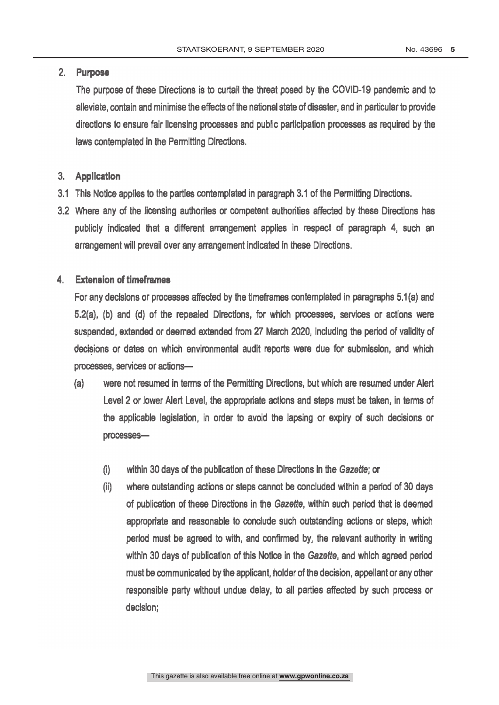# 2. Purpose

The purpose of these Directions is to curtail the threat posed by the COVID-19 pandemic and to alleviate, contain and minimise the effects of the national state of disaster, and in particular to provide directions to ensure fair licensing processes and public participation processes as required by the laws contemplated in the Permitting Directions.

### 3. Application

- 3.1 This Notice applies to the parties contemplated in paragraph 3.1 of the Permitting Directions.
- 3.2 Where any of the licensing authorites or competent authorities affected by these Directions has publicly indicated that a different arrangement applies in respect of paragraph 4, such an arrangement will prevail over any arrangement indicated in these Directions.

### 4. Extension of timeframes

For any decisions or processes affected by the timeframes contemplated in paragraphs 5.1(a) and 5.2(a), (b) and (d) of the repealed Directions, for which processes, services or actions were suspended, extended or deemed extended from 27 March 2020, including the period of validity of decisions or dates on which environmental audit reports were due for submission, and which processes, services or actions-

- (a) were not resumed in terms of the Permitting Directions, but which are resumed under Alert Level 2 or lower Alert Level, the appropriate actions and steps must be taken, in terms of the applicable legislation, in order to avoid the lapsing or expiry of such decisions or processes-
	- $(i)$ within 30 days of the publication of these Directions in the Gazette; or
	- $(ii)$ where outstanding actions or steps cannot be concluded within a period of 30 days of publication of these Directions in the Gazette, within such period that is deemed appropriate and reasonable to conclude such outstanding actions or steps, which period must be agreed to with, and confirmed by, the relevant authority in writing within 30 days of publication of this Notice in the Gazette, and which agreed period must be communicated by the applicant, holder of the decision, appellant or any other responsible party without undue delay, to all parties affected by such process or decision;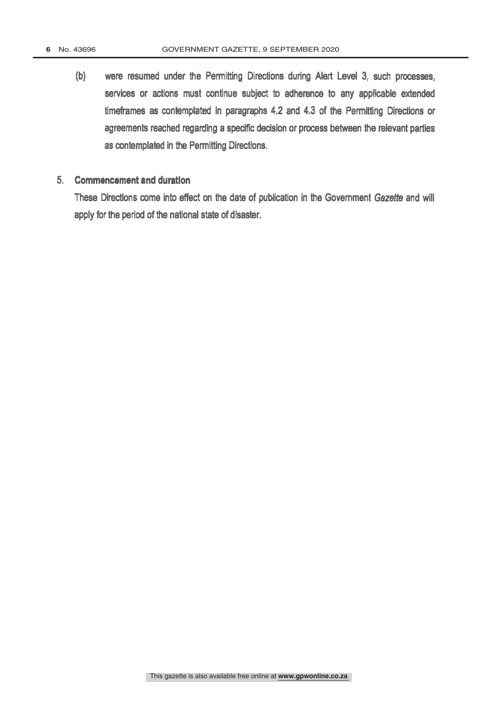(b) were resumed under the Permitting Directions during Alert Level 3, such processes, services or actions must continue subject to adherence to any applicable extended timeframes as contemplated in paragraphs 4.2 and 4.3 of the Permitting Directions or agreements reached regarding a specific decision or process between the relevant parties as contemplated in the Permitting Directions.

#### 5. Commencement and duration

These Directions come into effect on the date of publication in the Government Gazette and will apply for the period of the national state of disaster.